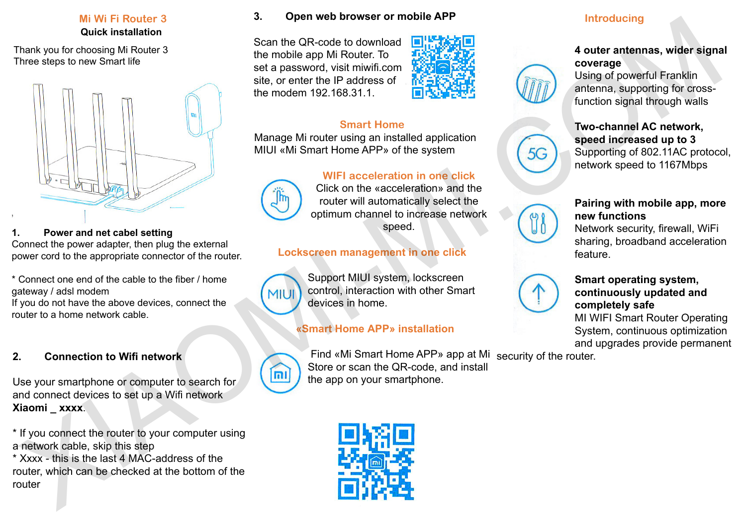## **Mi Wi Fi Router 3 Quick installation**

Thank you for choosing Mi Router 3 Three steps to new Smart life



### **1. Power and net cabel setting**

Connect the power adapter, then plug the external power cord to the appropriate connector of the router.

\* Connect one end of the cable to the fiber / home gateway / adsl modem

If you do not have the above devices, connect the router to a home network cable.

## **2. Connection to Wifi network**

Use your smartphone or computer to search for and connect devices to set up a Wifi network **Xiaomi \_ xxxx**.

\* If you connect the router to your computer using a network cable, skip this step

\* Xxxx - this is the last 4 MAC-address of the router, which can be checked at the bottom of the router

### **3. Open web browser or mobile APP**

Scan the QR-code to download the mobile app Mi Router. To set a password, visit miwifi.com site, or enter the IP address of the modem 192.168.31.1.



## **Smart Home**

Manage Mi router using an installed application MIUI «Mi Smart Home APP» of the system

# **WIFI acceleration in one click**



Click on the «acceleration» and the router will automatically select the optimum channel to increase network speed.

## **Lockscreen management in one click**



Support MIUI system, lockscreen control, interaction with other Smart devices in home.

# **«Smart Home АРР» installation**



 Find «Mi Smart Home APP» app at Mi security of the router. Store or scan the QR-code, and install the app on your smartphone.



## **Introducing**

## **4 outer antennas, wider signal coverage**

Using of powerful Franklin antenna, supporting for crossfunction signal through walls

### **Two-channel AC network, speed increased up to 3** Supporting of 802.11АС protocol, network speed to 1167Mbps

## **Pairing with mobile app, more new functions**

Network security, firewall, WiFi sharing, broadband acceleration feature.



## **Smart operating system, continuously updated and completely safe**

MI WIFI Smart Router Operating System, continuous optimization and upgrades provide permanent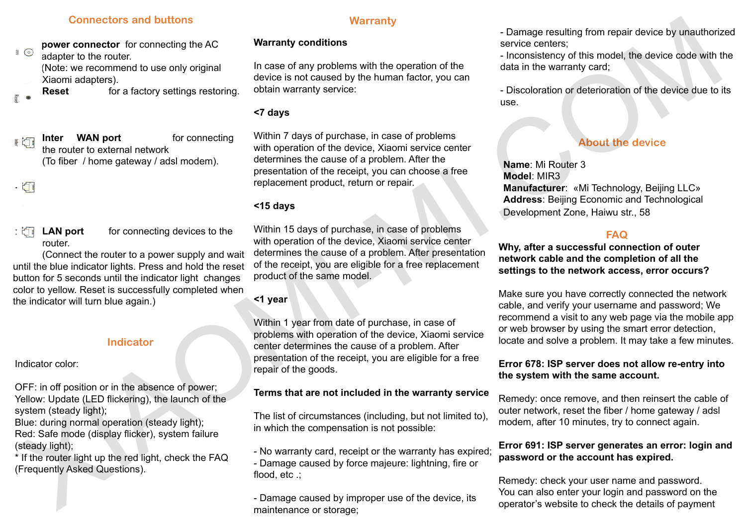#### **Connectors and buttons**

**power connector** for connecting the AC adapter to the router. (Note: we recommend to use only original Xiaomi adapters).

**Reset for a factory settings restoring.** 

**Inter WAN port** for connecting the router to external network (To fiber / home gateway / adsl modem).

router.

**LAN port** for connecting devices to the

(Connect the router to a power supply and wait until the blue indicator lights. Press and hold the reset button for 5 seconds until the indicator light changes color to yellow. Reset is successfully completed when the indicator will turn blue again.)

### **Indicator**

Indicator color:

OFF: in off position or in the absence of power; Yellow: Update (LED flickering), the launch of the system (steady light);

Blue: during normal operation (steady light); Red: Safe mode (display flicker), system failure (steady light);

\* If the router light up the red light, check the FAQ (Frequently Asked Questions).

#### **Warranty**

#### **Warranty conditions**

In case of any problems with the operation of the device is not caused by the human factor, you can obtain warranty service:

### **<7 days**

Within 7 days of purchase, in case of problems with operation of the device, Xiaomi service center determines the cause of a problem. After the presentation of the receipt, you can choose a free replacement product, return or repair.

#### **<15 days**

Within 15 days of purchase, in case of problems with operation of the device, Xiaomi service center determines the cause of a problem. After presentation of the receipt, you are eligible for a free replacement product of the same model.

### **<1 year**

Within 1 year from date of purchase, in case of problems with operation of the device, Xiaomi service center determines the cause of a problem. After presentation of the receipt, you are eligible for a free repair of the goods. Connection and bullons<br>
Connection and bullon the state of the state of the state of the state of the state of the state of the state of the state of the state of the state of the state of the state of the state of the sta

### **Terms that are not included in the warranty service**

The list of circumstances (including, but not limited to), in which the compensation is not possible:

- No warranty card, receipt or the warranty has expired;
- Damage caused by force majeure: lightning, fire or flood, etc .;

- Damage caused by improper use of the device, its maintenance or storage;

- Damage resulting from repair device by unauthorized service centers;

- Inconsistency of this model, the device code with the data in the warranty card;

- Discoloration or deterioration of the device due to its use.

## **About the device**

**Name**: Mi Router 3 **Model**: MIR3 **Manufacturer**: «Mi Technology, Beijing LLC» **Address**: Beijing Economic and Technological Development Zone, Haiwu str., 58

### **FAQ**

**Why, after a successful connection of outer network cable and the completion of all the settings to the network access, error occurs?**

Make sure you have correctly connected the network cable, and verify your username and password; We recommend a visit to any web page via the mobile app or web browser by using the smart error detection, locate and solve a problem. It may take a few minutes.

### **Error 678: ISP server does not allow re-entry into the system with the same account.**

Remedy: once remove, and then reinsert the cable of outer network, reset the fiber / home gateway / adsl modem, after 10 minutes, try to connect again.

### **Error 691: ISP server generates an error: login and password or the account has expired.**

Remedy: check your user name and password. You can also enter your login and password on the operator's website to check the details of payment